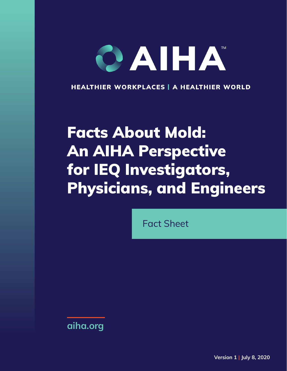# CAIHA

**HEALTHIER WORKPLACES | A HEALTHIER WORLD** 

## Facts About Mold: An AIHA Perspective for IEQ Investigators, Physicians, and Engineers

Fact Sheet

**[aiha.org](https://www.aiha.org)**

**Version 1 | July 8, 2020**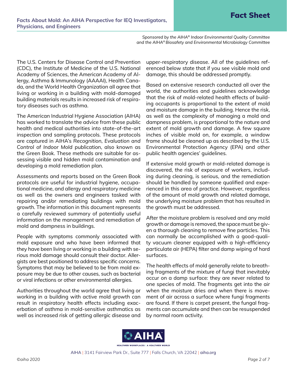*Sponsored by the AIHA® Indoor Environmental Quality Committee and the AIHA® Biosafety and Environmental Microbiology Committee*

The U.S. Centers for Disease Control and Prevention (CDC), the Institute of Medicine of the U.S. National Academy of Sciences, the American Academy of Allergy, Asthma & Immunology (AAAAI), Health Canada, and the World Health Organization all agree that living or working in a building with mold-damaged building materials results in increased risk of respiratory diseases such as asthma.

The American Industrial Hygiene Association (AIHA) has worked to translate the advice from these public health and medical authorities into state-of-the-art inspection and sampling protocols. These protocols are captured in AIHA's *Recognition, Evaluation and Control of Indoor Mold* publication, also known as the Green Book. These methods are suitable for assessing visible and hidden mold contamination and developing a mold remediation plan.

Assessments and reports based on the Green Book protocols are useful for industrial hygiene, occupational medicine, and allergy and respiratory medicine as well as the owners and engineers tasked with repairing and/or remediating buildings with mold growth. The information in this document represents a carefully reviewed summary of potentially useful information on the management and remediation of mold and dampness in buildings.

People with symptoms commonly associated with mold exposure and who have been informed that they have been living or working in a building with serious mold damage should consult their doctor. Allergists are best positioned to address specific concerns. Symptoms that may be believed to be from mold exposure may be due to other causes, such as bacterial or viral infections or other environmental allergies.

Authorities throughout the world agree that living or working in a building with active mold growth can result in respiratory health effects including exacerbation of asthma in mold-sensitive asthmatics as well as increased risk of getting allergic disease and

upper-respiratory disease. All of the guidelines referenced below state that if you see visible mold and damage, this should be addressed promptly.

Based on extensive research conducted all over the world, the authorities and guidelines acknowledge that the risk of mold-related health effects of building occupants is proportional to the extent of mold and moisture damage in the building. Hence the risk, as well as the complexity of managing a mold and dampness problem, is proportional to the nature and extent of mold growth and damage. A few square inches of visible mold on, for example, a window frame should be cleaned up as described by the U.S. Environmental Protection Agency (EPA) and other public health agencies' guidelines.

If extensive mold growth or mold-related damage is discovered, the risk of exposure of workers, including during cleaning, is serious, and the remediation should be handled by someone qualified and experienced in this area of practice. However, regardless of the amount of mold growth and related damage, the underlying moisture problem that has resulted in the growth must be addressed.

After the moisture problem is resolved and any mold growth or damage is removed, the space must be given a thorough cleaning to remove fine particles. This can normally be accomplished with a good-quality vacuum cleaner equipped with a high-efficiency particulate air (HEPA) filter and damp wiping of hard surfaces.

The health effects of mold generally relate to breathing fragments of the mixture of fungi that inevitably occur on a damp surface: they are never related to one species of mold. The fragments get into the air when the moisture dries and when there is movement of air across a surface where fungi fragments are found. If there is carpet present, the fungal fragments can accumulate and then can be resuspended by normal room activity.

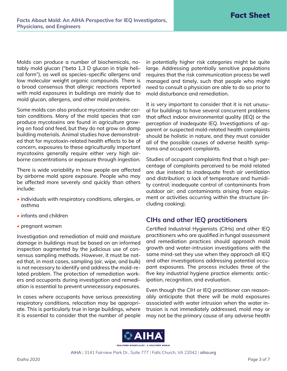Molds can produce a number of biochemicals, notably mold glucan ("beta 1,3 D glucan in triple helical form"), as well as species-specific allergens and low molecular weight organic compounds. There is a broad consensus that allergic reactions reported with mold exposures in buildings are mainly due to mold glucan, allergens, and other mold proteins.

Some molds can also produce mycotoxins under certain conditions. Many of the mold species that can produce mycotoxins are found in agriculture growing on food and feed, but they do not grow on damp building materials. Animal studies have demonstrated that for mycotoxin-related health effects to be of concern, exposures to these agriculturally important mycotoxins generally require either very high airborne concentrations or exposure through ingestion.

There is wide variability in how people are affected by airborne mold spore exposure. People who may be affected more severely and quickly than others include:

- individuals with respiratory conditions, allergies, or asthma
- infants and children
- pregnant women

Investigation and remediation of mold and moisture damage in buildings must be based on an informed inspection augmented by the judicious use of consensus sampling methods. However, it must be noted that, in most cases, sampling (air, wipe, and bulk) is not necessary to identify and address the mold-related problem. The protection of remediation workers and occupants during investigation and remediation is essential to prevent unnecessary exposures.

In cases where occupants have serious preexisting respiratory conditions, relocation may be appropriate. This is particularly true in large buildings, where it is essential to consider that the number of people in potentially higher risk categories might be quite large. Addressing potentially sensitive populations requires that the risk communication process be well managed and timely, such that people who might need to consult a physician are able to do so prior to mold disturbance and remediation.

It is very important to consider that it is not unusual for buildings to have several concurrent problems that affect indoor environmental quality (IEQ) or the perception of inadequate IEQ. Investigations of apparent or suspected mold-related health complaints should be holistic in nature, and they must consider all of the possible causes of adverse health symptoms and occupant complaints.

Studies of occupant complaints find that a high percentage of complaints perceived to be mold related are due instead to inadequate fresh air ventilation and distribution; a lack of temperature and humidity control; inadequate control of contaminants from outdoor air; and contaminants arising from equipment or activities occurring within the structure (including cooking).

### **CIHs and other IEQ practitioners**

Certified Industrial Hygienists (CIHs) and other IEQ practitioners who are qualified in fungal assessment and remediation practices should approach mold growth and water-intrusion investigations with the same mind-set they use when they approach all IEQ and other investigations addressing potential occupant exposures. The process includes three of the five key industrial hygiene practice elements: anticipation, recognition, and evaluation.

Even though the CIH or IEQ practitioner can reasonably anticipate that there will be mold exposures associated with water intrusion when the water intrusion is not immediately addressed, mold may or may not be the primary cause of any adverse health

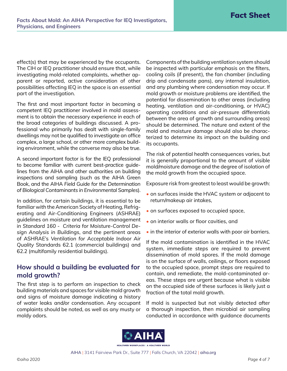effect(s) that may be experienced by the occupants. The CIH or IEQ practitioner should ensure that, while investigating mold-related complaints, whether apparent or reported, active consideration of other possibilities affecting IEQ in the space is an essential part of the investigation.

The first and most important factor in becoming a competent IEQ practitioner involved in mold assessment is to obtain the necessary experience in each of the broad categories of buildings discussed. A professional who primarily has dealt with single-family dwellings may not be qualified to investigate an office complex, a large school, or other more complex building environment, while the converse may also be true.

A second important factor is for the IEQ professional to become familiar with current best-practice guidelines from the AIHA and other authorities on building inspections and sampling (such as the AIHA Green Book, and the AIHA *Field Guide for the Determination of Biological Contaminants in Environmental Samples*).

In addition, for certain buildings, it is essential to be familiar with the American Society of Heating, Refrigerating and Air-Conditioning Engineers (ASHRAE) guidelines on moisture and ventilation management in *Standard 160 - Criteria for Moisture-Control Design Analysis in Buildings*, and the pertinent areas of ASHRAE's *Ventilation for Acceptable Indoor Air Quality* Standards 62.1 (commercial buildings) and 62.2 (multifamily residential buildings).

#### **How should a building be evaluated for mold growth?**

The first step is to perform an inspection to check building materials and spaces for visible mold growth and signs of moisture damage indicating a history of water leaks and/or condensation. Any occupant complaints should be noted, as well as any musty or moldy odors.

Components of the building ventilation system should be inspected with particular emphasis on the filters, cooling coils (if present), the fan chamber (including drip and condensate pans), any internal insulation, and any plumbing where condensation may occur. If mold growth or moisture problems are identified, the potential for dissemination to other areas (including heating, ventilation and air-conditioning, or HVAC) operating conditions and air-pressure differentials between the area of growth and surrounding areas) should be determined. The nature and extent of the mold and moisture damage should also be characterized to determine its impact on the building and its occupants.

The risk of potential health consequences varies, but it is generally proportional to the amount of visible mold/moisture damage and the degree of isolation of the mold growth from the occupied space.

Exposure risk from greatest to least would be growth:

- on surfaces inside the HVAC system or adjacent to return/makeup air intakes,
- on surfaces exposed to occupied space,
- on interior walls or floor cavities, and
- in the interior of exterior walls with poor air barriers.

If the mold contamination is identified in the HVAC system, immediate steps are required to prevent dissemination of mold spores. If the mold damage is on the surface of walls, ceilings, or floors exposed to the occupied space, prompt steps are required to contain, and remediate, the mold-contaminated areas. These steps are urgent because what is visible on the occupied side of these surfaces is likely just a fraction of the total mold growth.

If mold is suspected but not visibly detected after a thorough inspection, then microbial air sampling conducted in accordance with guidance documents

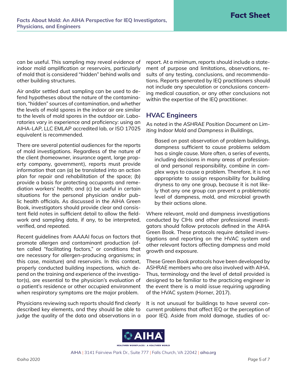can be useful. This sampling may reveal evidence of indoor mold amplification or reservoirs, particularly of mold that is considered "hidden" behind walls and other building structures.

Air and/or settled dust sampling can be used to defend hypotheses about the nature of the contamination, "hidden" sources of contamination, and whether the levels of mold spores in the indoor air are similar to the levels of mold spores in the outdoor air. Laboratories vary in experience and proficiency: using an AIHA-LAP, LLC EMLAP accredited lab, or ISO 17025 equivalent is recommended.

There are several potential audiences for the reports of mold investigations. Regardless of the nature of the client (homeowner, insurance agent, large property company, government), reports must provide information that can (a) be translated into an action plan for repair and rehabilitation of the space; (b) provide a basis for protecting occupants and remediation workers' health; and (c) be useful in certain situations for the personal physician and/or public health officials. As discussed in the AIHA Green Book, investigators should provide clear and consistent field notes in sufficient detail to allow the fieldwork and sampling data, if any, to be interpreted, verified, and repeated.

Recent guidelines from AAAAI focus on factors that promote allergen and contaminant production (often called "facilitating factors," or conditions that are necessary for allergen-producing organisms; in this case, moisture) and reservoirs. In this context, properly conducted building inspections, which depend on the training and experience of the investigator(s), are essential to the physician's evaluation of a patient's residence or other occupied environment when respiratory symptoms are the major problem.

Physicians reviewing such reports should find clearly described key elements, and they should be able to judge the quality of the data and observations in a report. At a minimum, reports should include a statement of purpose and limitations, observations, results of any testing, conclusions, and recommendations. Reports generated by IEQ practitioners should not include any speculation or conclusions concerning medical causation, or any other conclusions not within the expertise of the IEQ practitioner.

#### **HVAC Engineers**

As noted in the *ASHRAE Position Document on Limiting Indoor Mold and Dampness in Buildings*,

Based on past observation of problem buildings, dampness sufficient to cause problems seldom has a single cause. More often, a series of events, including decisions in many areas of professional and personal responsibility, combine in complex ways to cause a problem. Therefore, it is not appropriate to assign responsibility for building dryness to any one group, because it is not likely that any one group can prevent a problematic level of dampness, mold, and microbial growth by their actions alone.

Where relevant, mold and dampness investigations conducted by CIHs and other professional investigators should follow protocols defined in the AIHA Green Book. These protocols require detailed investigations and reporting on the HVAC system and other relevant factors affecting dampness and mold growth and exposure.

These Green Book protocols have been developed by ASHRAE members who are also involved with AIHA. Thus, terminology and the level of detail provided is designed to be familiar to the practicing engineer in the event there is a mold issue requiring upgrading of the HVAC system (Horner, 2017).

It is not unusual for buildings to have several concurrent problems that affect IEQ or the perception of poor IEQ. Aside from mold damage, studies of oc-

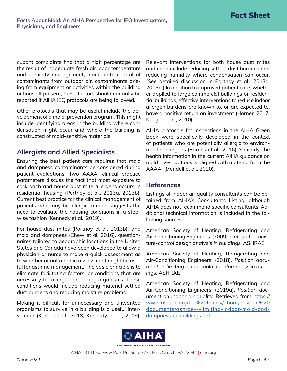cupant complaints find that a high percentage are the result of inadequate fresh air, poor temperature and humidity management, inadequate control of contaminants from outdoor air, contaminants arising from equipment or activities within the building or house If present, these factors should normally be reported if AIHA IEQ protocols are being followed.

Other protocols that may be useful include the development of a mold-prevention program. This might include identifying areas in the building where condensation might occur and where the building is constructed of mold-sensitive materials.

#### **Allergists and Allied Specialists**

Ensuring the best patient care requires that mold and dampness contaminants be considered during patient evaluations. Two AAAAI clinical practice parameters discuss the fact that most exposure to cockroach and house dust mite allergens occurs in residential housing (Portnoy et al., 2013a, 2013b). Current best practice for the clinical management of patients who may be allergic to mold suggests the need to evaluate the housing conditions in a stepwise fashion (Kennedy et al., 2019).

For house dust mites (Portnoy et al. 2013b), and mold and dampness (Chew et al. 2016), questionnaires tailored to geographic locations in the United States and Canada have been developed to allow a physician or nurse to make a quick assessment as to whether or not a home assessment might be useful for asthma management. The basic principle is to eliminate *facilitating factors*, or conditions that are necessary for allergen-producing organisms. These conditions would include reducing material settled dust burdens and reducing moisture problems.

Making it difficult for unnecessary and unwanted organisms to survive in a building is a useful intervention (Kader et al., 2018; Kennedy et al., 2019). Relevant interventions for both house dust mites and mold include reducing settled dust burdens and reducing humidity where condensation can occur. (See detailed discussion in Portnoy et al., 2013a, 2013b.) In addition to improved patient care, whether applied to large commercial buildings or residential buildings, effective interventions to reduce indoor allergen burdens are known to, or are expected to, have a positive return on investment (Horner, 2017; Krieger et al., 2010).

AIHA protocols for inspections in the AIHA Green Book were specifically developed in the context of patients who are potentially allergic to environmental allergens (Barnes et al., 2016). Similarly, the health information in the current AIHA guidance on mold investigations is aligned with material from the AAAAI (Mendell et al., 2020).

#### **References**

Listings of indoor air quality consultants can be obtained from AIHA's Consultants Listing, although AIHA does not recommend specific consultants. Additional technical information is included in the following sources.

American Society of Heating, Refrigerating and Air-Conditioning Engineers. (2009). *Criteria for moisture-control design analysis in buildings.* ASHRAE.

American Society of Heating, Refrigerating and Air-Conditioning Engineers. (2018). *Position document on limiting indoor mold and dampness in buildings.* ASHRAE

American Society of Heating, Refrigerating and Air-Conditioning Engineers. (2019a). *Position document on indoor air quality.* Retrieved from [https://](https://www.ashrae.org/file%20library/about/position%20documents/ashrae---limiting-indoor-mold-and-dampness-in-buildings.pdf) [www.ashrae.org/file%20library/about/position%20](https://www.ashrae.org/file%20library/about/position%20documents/ashrae---limiting-indoor-mold-and-dampness-in-buildings.pdf) [documents/ashrae---limiting-indoor-mold-and](https://www.ashrae.org/file%20library/about/position%20documents/ashrae---limiting-indoor-mold-and-dampness-in-buildings.pdf)[dampness-in-buildings.pdf](https://www.ashrae.org/file%20library/about/position%20documents/ashrae---limiting-indoor-mold-and-dampness-in-buildings.pdf)